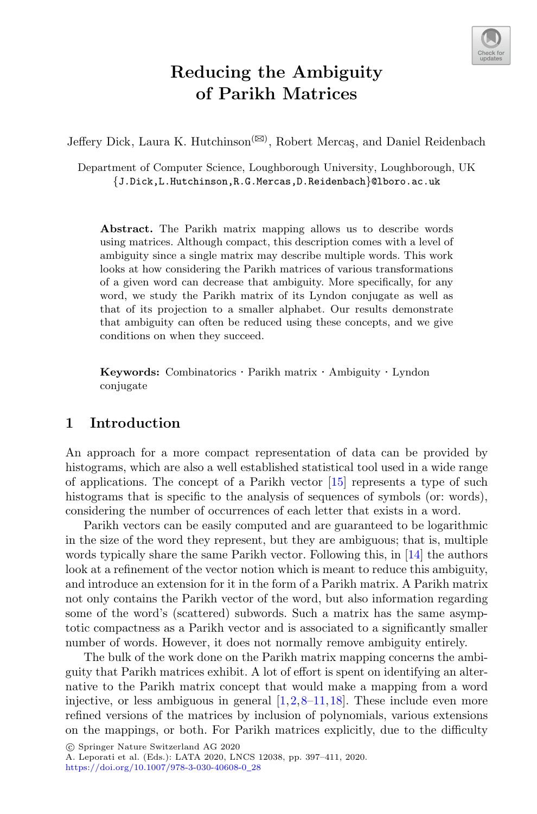

# **Reducing the Ambiguity of Parikh Matrices**

Jeffery Dick, Laura K. Hutchinson<sup>( $\boxtimes$ )</sup>, Robert Mercaş, and Daniel Reidenbach

Department of Computer Science, Loughborough University, Loughborough, UK *{*J.Dick,L.Hutchinson,R.G.Mercas,D.Reidenbach*}*@lboro.ac.uk

**Abstract.** The Parikh matrix mapping allows us to describe words using matrices. Although compact, this description comes with a level of ambiguity since a single matrix may describe multiple words. This work looks at how considering the Parikh matrices of various transformations of a given word can decrease that ambiguity. More specifically, for any word, we study the Parikh matrix of its Lyndon conjugate as well as that of its projection to a smaller alphabet. Our results demonstrate that ambiguity can often be reduced using these concepts, and we give conditions on when they succeed.

**Keywords:** Combinatorics · Parikh matrix · Ambiguity · Lyndon conjugate

### **1 Introduction**

An approach for a more compact representation of data can be provided by histograms, which are also a well established statistical tool used in a wide range of applications. The concept of a Parikh vector  $[15]$  $[15]$  represents a type of such histograms that is specific to the analysis of sequences of symbols (or: words), considering the number of occurrences of each letter that exists in a word.

Parikh vectors can be easily computed and are guaranteed to be logarithmic in the size of the word they represent, but they are ambiguous; that is, multiple words typically share the same Parikh vector. Following this, in [\[14](#page-14-1)] the authors look at a refinement of the vector notion which is meant to reduce this ambiguity, and introduce an extension for it in the form of a Parikh matrix. A Parikh matrix not only contains the Parikh vector of the word, but also information regarding some of the word's (scattered) subwords. Such a matrix has the same asymptotic compactness as a Parikh vector and is associated to a significantly smaller number of words. However, it does not normally remove ambiguity entirely.

The bulk of the work done on the Parikh matrix mapping concerns the ambiguity that Parikh matrices exhibit. A lot of effort is spent on identifying an alternative to the Parikh matrix concept that would make a mapping from a word injective, or less ambiguous in general  $[1,2,8-11,18]$  $[1,2,8-11,18]$  $[1,2,8-11,18]$  $[1,2,8-11,18]$  $[1,2,8-11,18]$  $[1,2,8-11,18]$  $[1,2,8-11,18]$ . These include even more refined versions of the matrices by inclusion of polynomials, various extensions on the mappings, or both. For Parikh matrices explicitly, due to the difficulty

-c Springer Nature Switzerland AG 2020

A. Leporati et al. (Eds.): LATA 2020, LNCS 12038, pp. 397–411, 2020. [https://doi.org/10.1007/978-3-030-40608-0](https://doi.org/10.1007/978-3-030-40608-0_28)\_28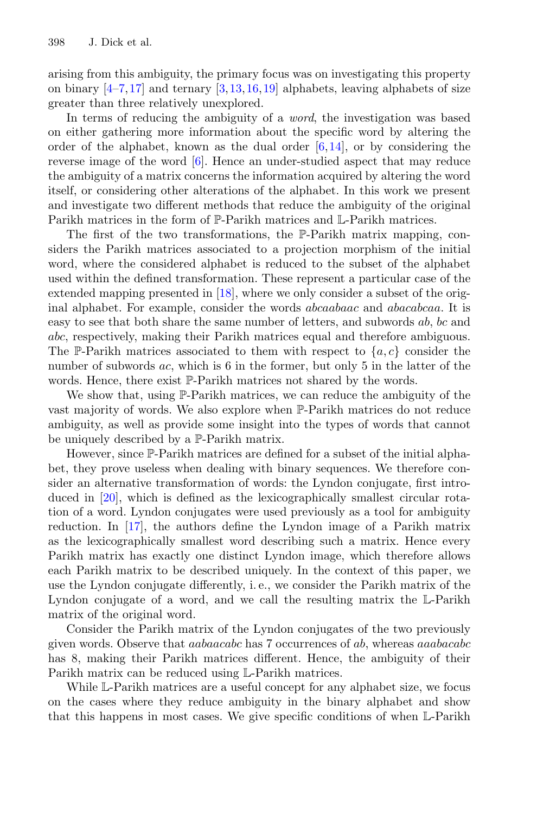arising from this ambiguity, the primary focus was on investigating this property on binary  $[4-7,17]$  $[4-7,17]$  $[4-7,17]$  and ternary  $[3,13,16,19]$  $[3,13,16,19]$  $[3,13,16,19]$  $[3,13,16,19]$  $[3,13,16,19]$  $[3,13,16,19]$  alphabets, leaving alphabets of size greater than three relatively unexplored.

In terms of reducing the ambiguity of a *word*, the investigation was based on either gathering more information about the specific word by altering the order of the alphabet, known as the dual order  $[6,14]$  $[6,14]$ , or by considering the reverse image of the word [\[6\]](#page-13-8). Hence an under-studied aspect that may reduce the ambiguity of a matrix concerns the information acquired by altering the word itself, or considering other alterations of the alphabet. In this work we present and investigate two different methods that reduce the ambiguity of the original Parikh matrices in the form of P-Parikh matrices and L-Parikh matrices.

The first of the two transformations, the P-Parikh matrix mapping, considers the Parikh matrices associated to a projection morphism of the initial word, where the considered alphabet is reduced to the subset of the alphabet used within the defined transformation. These represent a particular case of the extended mapping presented in [\[18\]](#page-14-2), where we only consider a subset of the original alphabet. For example, consider the words abcaabaac and abacabcaa. It is easy to see that both share the same number of letters, and subwords ab, bc and abc, respectively, making their Parikh matrices equal and therefore ambiguous. The P-Parikh matrices associated to them with respect to  $\{a, c\}$  consider the number of subwords ac, which is 6 in the former, but only 5 in the latter of the words. Hence, there exist P-Parikh matrices not shared by the words.

We show that, using P-Parikh matrices, we can reduce the ambiguity of the vast majority of words. We also explore when P-Parikh matrices do not reduce ambiguity, as well as provide some insight into the types of words that cannot be uniquely described by a P-Parikh matrix.

However, since P-Parikh matrices are defined for a subset of the initial alphabet, they prove useless when dealing with binary sequences. We therefore consider an alternative transformation of words: the Lyndon conjugate, first introduced in [\[20](#page-14-6)], which is defined as the lexicographically smallest circular rotation of a word. Lyndon conjugates were used previously as a tool for ambiguity reduction. In [\[17\]](#page-14-3), the authors define the Lyndon image of a Parikh matrix as the lexicographically smallest word describing such a matrix. Hence every Parikh matrix has exactly one distinct Lyndon image, which therefore allows each Parikh matrix to be described uniquely. In the context of this paper, we use the Lyndon conjugate differently, i. e., we consider the Parikh matrix of the Lyndon conjugate of a word, and we call the resulting matrix the L-Parikh matrix of the original word.

Consider the Parikh matrix of the Lyndon conjugates of the two previously given words. Observe that aabaacabc has 7 occurrences of ab, whereas aaabacabc has 8, making their Parikh matrices different. Hence, the ambiguity of their Parikh matrix can be reduced using L-Parikh matrices.

While L-Parikh matrices are a useful concept for any alphabet size, we focus on the cases where they reduce ambiguity in the binary alphabet and show that this happens in most cases. We give specific conditions of when L-Parikh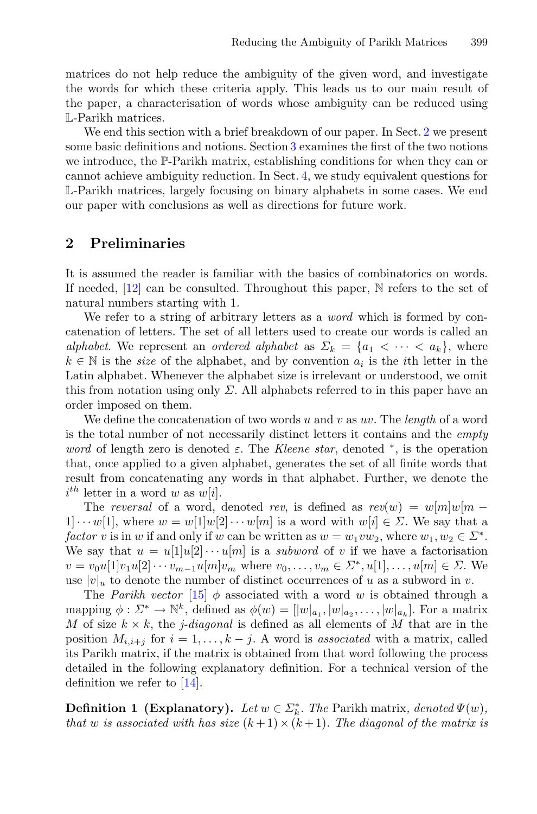matrices do not help reduce the ambiguity of the given word, and investigate the words for which these criteria apply. This leads us to our main result of the paper, a characterisation of words whose ambiguity can be reduced using L-Parikh matrices.

We end this section with a brief breakdown of our paper. In Sect. [2](#page-2-0) we present some basic definitions and notions. Section [3](#page-5-0) examines the first of the two notions we introduce, the P-Parikh matrix, establishing conditions for when they can or cannot achieve ambiguity reduction. In Sect. [4,](#page-7-0) we study equivalent questions for L-Parikh matrices, largely focusing on binary alphabets in some cases. We end our paper with conclusions as well as directions for future work.

#### <span id="page-2-0"></span>**2 Preliminaries**

It is assumed the reader is familiar with the basics of combinatorics on words. If needed, [\[12](#page-13-9)] can be consulted. Throughout this paper, N refers to the set of natural numbers starting with 1.

We refer to a string of arbitrary letters as a *word* which is formed by concatenation of letters. The set of all letters used to create our words is called an *alphabet*. We represent an *ordered alphabet* as  $\Sigma_k = \{a_1 \leq \cdots \leq a_k\}$ , where  $k \in \mathbb{N}$  is the *size* of the alphabet, and by convention  $a_i$  is the *i*th letter in the Latin alphabet. Whenever the alphabet size is irrelevant or understood, we omit this from notation using only  $\Sigma$ . All alphabets referred to in this paper have an order imposed on them.

We define the concatenation of two words u and v as uv. The *length* of a word is the total number of not necessarily distinct letters it contains and the *empty word* of length zero is denoted  $\varepsilon$ . The *Kleene star*, denoted  $*$ , is the operation that, once applied to a given alphabet, generates the set of all finite words that result from concatenating any words in that alphabet. Further, we denote the  $i^{th}$  letter in a word w as  $w[i]$ .

The *reversal* of a word, denoted *rev*, is defined as  $rev(w) = w[m]w[m 1] \cdots w[1]$ , where  $w = w[1]w[2] \cdots w[m]$  is a word with  $w[i] \in \Sigma$ . We say that a *factor* v is in w if and only if w can be written as  $w = w_1vw_2$ , where  $w_1, w_2 \in \Sigma^*$ . We say that  $u = u[1]u[2] \cdots u[m]$  is a *subword* of v if we have a factorisation  $v = v_0u[1]v_1u[2] \cdots v_{m-1}u[m]v_m$  where  $v_0, \ldots, v_m \in \Sigma^*, u[1], \ldots, u[m] \in \Sigma$ . We use  $|v|_u$  to denote the number of distinct occurrences of u as a subword in v.

The *Parikh vector* [\[15](#page-14-0)]  $\phi$  associated with a word w is obtained through a mapping  $\phi: \Sigma^* \to \mathbb{N}^k$ , defined as  $\phi(w)=[|w|_{a_1}, |w|_{a_2}, \ldots, |w|_{a_k}].$  For a matrix M of size  $k \times k$ , the *j*-diagonal is defined as all elements of M that are in the position  $M_{i,i+j}$  for  $i = 1, \ldots, k-j$ . A word is *associated* with a matrix, called its Parikh matrix, if the matrix is obtained from that word following the process detailed in the following explanatory definition. For a technical version of the definition we refer to  $[14]$  $[14]$ .

**Definition 1 (Explanatory).** *Let*  $w \in \Sigma_k^*$ *. The Parikh matrix, denoted*  $\Psi(w)$ *, that* w *is associated with has size*  $(k+1) \times (k+1)$ *. The diagonal of the matrix is*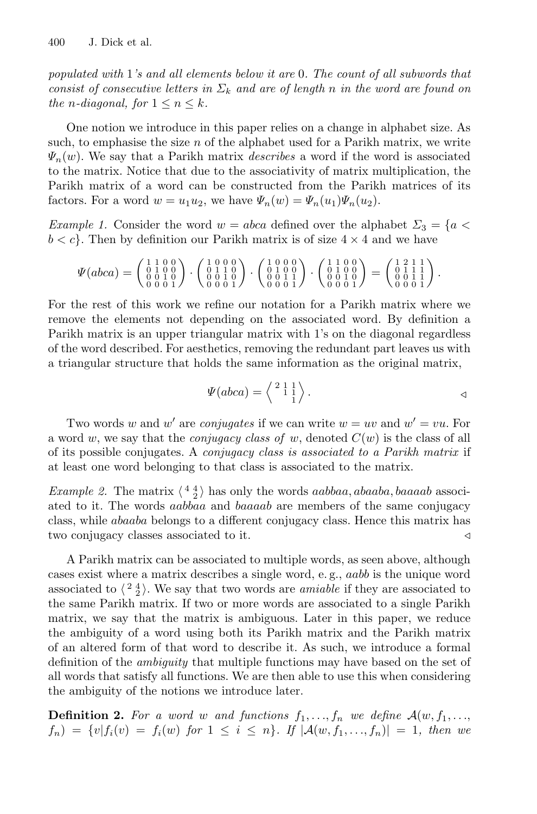*populated with* 1*'s and all elements below it are* 0*. The count of all subwords that consist of consecutive letters in*  $\Sigma_k$  *and are of length* n *in the word are found on the n*-diagonal, for  $1 \leq n \leq k$ .

One notion we introduce in this paper relies on a change in alphabet size. As such, to emphasise the size  $n$  of the alphabet used for a Parikh matrix, we write  $\Psi_n(w)$ . We say that a Parikh matrix *describes* a word if the word is associated to the matrix. Notice that due to the associativity of matrix multiplication, the Parikh matrix of a word can be constructed from the Parikh matrices of its factors. For a word  $w = u_1u_2$ , we have  $\Psi_n(w) = \Psi_n(u_1)\Psi_n(u_2)$ .

<span id="page-3-0"></span>*Example 1.* Consider the word  $w = abca$  defined over the alphabet  $\Sigma_3 = \{a \leq a \leq a \}$  $b < c$ . Then by definition our Parikh matrix is of size  $4 \times 4$  and we have

$$
\varPsi(abca)=\left(\begin{smallmatrix} 1 & 1 & 0 & 0 \\ 0 & 1 & 0 & 0 \\ 0 & 0 & 1 & 0 \\ 0 & 0 & 0 & 1 \end{smallmatrix}\right)\cdot \left(\begin{smallmatrix} 1 & 0 & 0 & 0 \\ 0 & 1 & 1 & 0 \\ 0 & 1 & 1 & 0 \\ 0 & 0 & 0 & 1 \end{smallmatrix}\right)\cdot \left(\begin{smallmatrix} 1 & 0 & 0 & 0 \\ 0 & 1 & 0 & 0 \\ 0 & 1 & 0 & 1 \\ 0 & 0 & 1 & 1 \end{smallmatrix}\right)\cdot \left(\begin{smallmatrix} 1 & 1 & 0 & 0 \\ 0 & 1 & 0 & 0 \\ 0 & 1 & 0 & 0 \\ 0 & 0 & 0 & 1 \end{smallmatrix}\right)=\left(\begin{smallmatrix} 1 & 2 & 1 & 1 \\ 0 & 1 & 1 & 1 \\ 0 & 1 & 1 & 1 \\ 0 & 0 & 0 & 1 \end{smallmatrix}\right).
$$

For the rest of this work we refine our notation for a Parikh matrix where we remove the elements not depending on the associated word. By definition a Parikh matrix is an upper triangular matrix with 1's on the diagonal regardless of the word described. For aesthetics, removing the redundant part leaves us with a triangular structure that holds the same information as the original matrix,

$$
\Psi(abca) = \left\langle \begin{array}{c} 2 & 1 & 1 \\ 1 & 1 & 1 \\ 1 & 1 & 1 \end{array} \right\rangle.
$$

Two words w and w' are *conjugates* if we can write  $w = uv$  and  $w' = vu$ . For a word w, we say that the *conjugacy class of* w, denoted  $C(w)$  is the class of all of its possible conjugates. A *conjugacy class is associated to a Parikh matrix* if at least one word belonging to that class is associated to the matrix.

*Example 2.* The matrix  $\langle \frac{4}{2} \rangle$  has only the words *aabbaa*, *abaaba*, *baaaab* associated to it. The words aabbaa and baaaab are members of the same conjugacy class, while abaaba belongs to a different conjugacy class. Hence this matrix has two conjugacy classes associated to it.

A Parikh matrix can be associated to multiple words, as seen above, although cases exist where a matrix describes a single word, e. g., aabb is the unique word associated to  $\langle \frac{24}{2} \rangle$ . We say that two words are *amiable* if they are associated to the same Parikh matrix. If two or more words are associated to a single Parikh matrix, we say that the matrix is ambiguous. Later in this paper, we reduce the ambiguity of a word using both its Parikh matrix and the Parikh matrix of an altered form of that word to describe it. As such, we introduce a formal definition of the *ambiguity* that multiple functions may have based on the set of all words that satisfy all functions. We are then able to use this when considering the ambiguity of the notions we introduce later.

<span id="page-3-1"></span>**Definition 2.** For a word w and functions  $f_1, \ldots, f_n$  we define  $\mathcal{A}(w, f_1, \ldots, f_n)$  $f_n$  =  $\{v | f_i(v) = f_i(w) \text{ for } 1 \leq i \leq n\}$ . If  $|\mathcal{A}(w, f_1, ..., f_n)| = 1$ , then we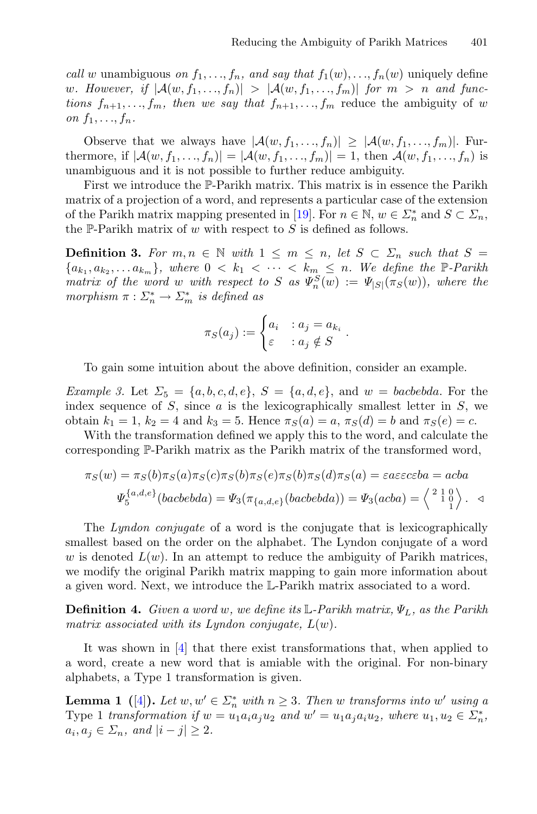*call* w unambiguous *on*  $f_1, \ldots, f_n$ , and say that  $f_1(w), \ldots, f_n(w)$  uniquely define w. However, if  $|\mathcal{A}(w, f_1, \ldots, f_n)| > |\mathcal{A}(w, f_1, \ldots, f_m)|$  for  $m > n$  and func*tions*  $f_{n+1}, \ldots, f_m$ , then we say that  $f_{n+1}, \ldots, f_m$  reduce the ambiguity of w *on*  $f_1, \ldots, f_n$ *.* 

Observe that we always have  $|\mathcal{A}(w, f_1, \ldots, f_n)| \geq |\mathcal{A}(w, f_1, \ldots, f_m)|$ . Furthermore, if  $|A(w, f_1, ..., f_n)| = |A(w, f_1, ..., f_m)| = 1$ , then  $A(w, f_1, ..., f_n)$  is unambiguous and it is not possible to further reduce ambiguity.

First we introduce the P-Parikh matrix. This matrix is in essence the Parikh matrix of a projection of a word, and represents a particular case of the extension of the Parikh matrix mapping presented in [\[19\]](#page-14-5). For  $n \in \mathbb{N}$ ,  $w \in \Sigma_n^*$  and  $S \subset \Sigma_n$ , the P-Parikh matrix of  $w$  with respect to  $S$  is defined as follows.

**Definition 3.** For  $m, n \in \mathbb{N}$  with  $1 \leq m \leq n$ , let  $S \subset \Sigma_n$  such that  $S =$  ${a_{k_1}, a_{k_2}, \ldots a_{k_m}}$ *, where*  $0 \lt k_1 \lt \cdots \lt k_m \le n$ *. We define the*  $\mathbb{P}$ -Parikh *matrix of the word* w with respect to S as  $\Psi_n^S(w) := \Psi_{|S|}(\pi_S(w))$ , where the *morphism*  $\pi : \Sigma_n^* \to \Sigma_m^*$  *is defined as* 

$$
\pi_S(a_j) := \begin{cases} a_i & : a_j = a_{k_i} \\ \varepsilon & : a_j \notin S \end{cases}.
$$

To gain some intuition about the above definition, consider an example.

*Example 3.* Let  $\Sigma_5 = \{a, b, c, d, e\}, S = \{a, d, e\}, \text{ and } w = bacbebda.$  For the index sequence of  $S$ , since  $a$  is the lexicographically smallest letter in  $S$ , we obtain  $k_1 = 1$ ,  $k_2 = 4$  and  $k_3 = 5$ . Hence  $\pi_S(a) = a$ ,  $\pi_S(d) = b$  and  $\pi_S(e) = c$ .

With the transformation defined we apply this to the word, and calculate the corresponding P-Parikh matrix as the Parikh matrix of the transformed word,

$$
\pi_S(w) = \pi_S(b)\pi_S(a)\pi_S(c)\pi_S(b)\pi_S(e)\pi_S(b)\pi_S(d)\pi_S(a) = \varepsilon a \varepsilon \varepsilon c \varepsilon b a = acba
$$
  

$$
\Psi_5^{\{a,d,e\}}(bacbebda) = \Psi_3(\pi_{\{a,d,e\}}(bacbebda)) = \Psi_3(acba) = \left\langle \begin{array}{c} 2 & 1 & 0 \\ 1 & 0 & 1 \end{array} \right\rangle.
$$

The *Lyndon conjugate* of a word is the conjugate that is lexicographically smallest based on the order on the alphabet. The Lyndon conjugate of a word w is denoted  $L(w)$ . In an attempt to reduce the ambiguity of Parikh matrices, we modify the original Parikh matrix mapping to gain more information about a given word. Next, we introduce the L-Parikh matrix associated to a word.

<span id="page-4-1"></span>**Definition 4.** *Given a word* w*, we define its* L*-Parikh matrix,* ΨL*, as the Parikh matrix associated with its Lyndon conjugate,* L(w)*.*

It was shown in [\[4\]](#page-13-4) that there exist transformations that, when applied to a word, create a new word that is amiable with the original. For non-binary alphabets, a Type 1 transformation is given.

<span id="page-4-0"></span>**Lemma 1** ([\[4](#page-13-4)]). Let  $w, w' \in \Sigma_n^*$  with  $n \geq 3$ . Then w transforms into w' using a Type 1 *transformation if*  $w = u_1 a_i a_j u_2$  *and*  $w' = u_1 a_j a_i u_2$ *, where*  $u_1, u_2 \in \Sigma_n^*$ ,  $a_i, a_j \in \Sigma_n$ , and  $|i - j| \geq 2$ .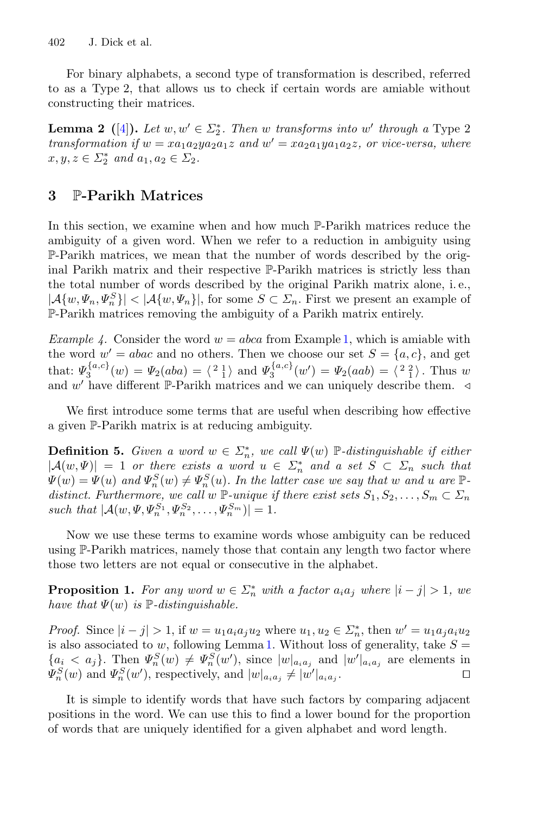For binary alphabets, a second type of transformation is described, referred to as a Type 2, that allows us to check if certain words are amiable without constructing their matrices.

<span id="page-5-2"></span>**Lemma 2** ([\[4\]](#page-13-4)). Let  $w, w' \in \Sigma_2^*$ . Then w transforms into w' through a Type 2 *transformation if*  $w = xa_1a_2ya_2a_1z$  *and*  $w' = xa_2a_1ya_1a_2z$ *, or vice-versa, where*  $x, y, z \in \Sigma_2^*$  and  $a_1, a_2 \in \Sigma_2$ .

## <span id="page-5-0"></span>**3** P**-Parikh Matrices**

In this section, we examine when and how much P-Parikh matrices reduce the ambiguity of a given word. When we refer to a reduction in ambiguity using P-Parikh matrices, we mean that the number of words described by the original Parikh matrix and their respective P-Parikh matrices is strictly less than the total number of words described by the original Parikh matrix alone, i. e.,  $|\mathcal{A}\{w, \Psi_n, \Psi_n^S\}| < |\mathcal{A}\{w, \Psi_n\}|$ , for some  $S \subset \Sigma_n$ . First we present an example of P-Parikh matrices removing the ambiguity of a Parikh matrix entirely.

*Example 4.* Consider the word  $w = abca$  from Example [1,](#page-3-0) which is amiable with the word  $w' = abac$  and no others. Then we choose our set  $S = \{a, c\}$ , and get that:  $\Psi_3^{\{a,c\}}(w) = \Psi_2(aba) = \langle \begin{array}{c} 2 \ 1 \end{array} \rangle$  and  $\Psi_3^{\{a,c\}}(w') = \Psi_2(aab) = \langle \begin{array}{c} 2 \ 1 \end{array} \rangle$ . Thus w and w' have different P-Parikh matrices and we can uniquely describe them.  $\triangleleft$ 

<span id="page-5-4"></span>We first introduce some terms that are useful when describing how effective a given P-Parikh matrix is at reducing ambiguity.

**Definition 5.** *Given a word*  $w \in \Sigma_n^*$ , we call  $\Psi(w)$   $\mathbb{P}$ -distinguishable if either  $|\mathcal{A}(w, \Psi)| = 1$  *or there exists a word*  $u \in \Sigma_n^*$  *and a set*  $S \subset \Sigma_n$  *such that*  $\Psi(w) = \Psi(u)$  and  $\Psi_n^S(w) \neq \Psi_n^S(u)$ . In the latter case we say that w and u are  $\mathbb{P}_n$ *distinct. Furthermore, we call* w P-unique if there exist sets  $S_1, S_2, \ldots, S_m \subset \Sigma_n$ *such that*  $|A(w, \Psi, \Psi_n^{S_1}, \Psi_n^{S_2}, \dots, \Psi_n^{S_m})| = 1.$ 

Now we use these terms to examine words whose ambiguity can be reduced using P-Parikh matrices, namely those that contain any length two factor where those two letters are not equal or consecutive in the alphabet.

<span id="page-5-1"></span>**Proposition 1.** For any word  $w \in \Sigma_n^*$  with a factor  $a_i a_j$  where  $|i - j| > 1$ , we *have that*  $\Psi(w)$  *is*  $\mathbb{P}\text{-}distinguishable$ .

*Proof.* Since  $|i - j| > 1$ , if  $w = u_1 a_i a_j u_2$  where  $u_1, u_2 \in \Sigma_n^*$ , then  $w' = u_1 a_j a_i u_2$ is also associated to w, following Lemma [1.](#page-4-0) Without loss of generality, take  $S =$  ${a_i < a_j}$ . Then  $\Psi_n^S(w) \neq \Psi_n^S(w')$ , since  $|w|_{a_i a_j}$  and  $|w'|_{a_i a_j}$  are elements in  $\Psi_n^S(w)$  and  $\Psi_n^S(w')$ , respectively, and  $|w|_{a_ia_j} \neq |w'|_{a_ia_j}$ .  $\Box$ 

<span id="page-5-3"></span>It is simple to identify words that have such factors by comparing adjacent positions in the word. We can use this to find a lower bound for the proportion of words that are uniquely identified for a given alphabet and word length.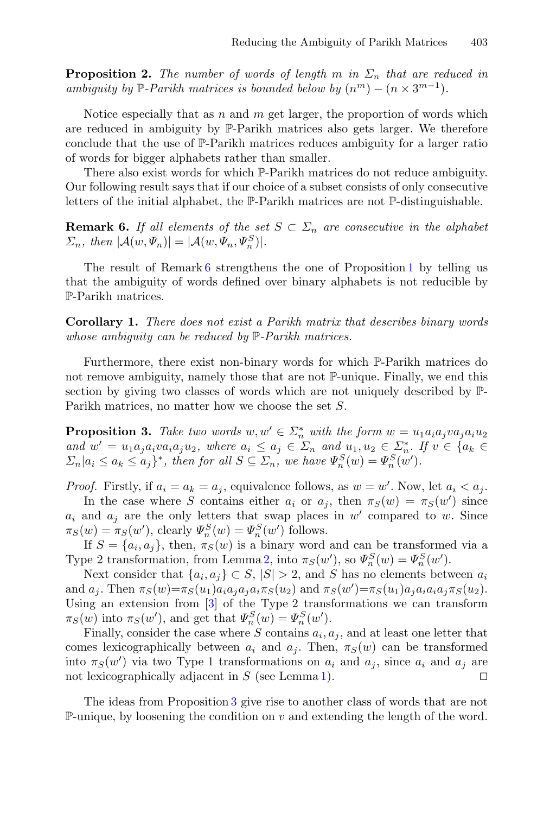**Proposition 2.** *The number of words of length* m *in*  $\Sigma_n$  *that are reduced in ambiguity by*  $\mathbb{P}$ *-Parikh matrices is bounded below by*  $(n^m) - (n \times 3^{m-1})$ *.* 

Notice especially that as  $n$  and  $m$  get larger, the proportion of words which are reduced in ambiguity by P-Parikh matrices also gets larger. We therefore conclude that the use of P-Parikh matrices reduces ambiguity for a larger ratio of words for bigger alphabets rather than smaller.

There also exist words for which P-Parikh matrices do not reduce ambiguity. Our following result says that if our choice of a subset consists of only consecutive letters of the initial alphabet, the P-Parikh matrices are not P-distinguishable.

<span id="page-6-0"></span>**Remark 6.** *If all elements of the set*  $S \subset \Sigma_n$  *are consecutive in the alphabet*  $\Sigma_n$ , then  $|\mathcal{A}(w, \Psi_n)| = |\mathcal{A}(w, \Psi_n, \Psi_n^S)|$ .

<span id="page-6-2"></span>The result of Remark [6](#page-6-0) strengthens the one of Proposition [1](#page-5-1) by telling us that the ambiguity of words defined over binary alphabets is not reducible by P-Parikh matrices.

**Corollary 1.** *There does not exist a Parikh matrix that describes binary words whose ambiguity can be reduced by* P*-Parikh matrices.*

Furthermore, there exist non-binary words for which P-Parikh matrices do not remove ambiguity, namely those that are not P-unique. Finally, we end this section by giving two classes of words which are not uniquely described by P-Parikh matrices, no matter how we choose the set S.

<span id="page-6-1"></span>**Proposition 3.** Take two words  $w, w' \in \sum_{n=1}^{\infty} w_i$  with the form  $w = u_1 a_i a_j v a_j a_i u_2$ *and*  $w' = u_1 a_j a_i v a_i a_j u_2$ , where  $a_i \leq a_j \in \Sigma_n$  *and*  $u_1, u_2 \in \Sigma_n^*$ . If  $v \in \{a_k \in \Sigma_n : i \in \Sigma_n\}$  $\Sigma_n | a_i \leq a_k \leq a_j \}^*$ , then for all  $S \subseteq \Sigma_n$ , we have  $\Psi_n^S(w) = \Psi_n^S(w')$ .

*Proof.* Firstly, if  $a_i = a_k = a_j$ , equivalence follows, as  $w = w'$ . Now, let  $a_i < a_j$ .

In the case where S contains either  $a_i$  or  $a_j$ , then  $\pi_S(w) = \pi_S(w')$  since  $a_i$  and  $a_j$  are the only letters that swap places in w' compared to w. Since  $\pi_S(w) = \pi_S(w'),$  clearly  $\Psi_n^S(w) = \Psi_n^S(w')$  follows.

If  $S = \{a_i, a_j\}$ , then,  $\pi_S(w)$  is a binary word and can be transformed via a Type 2 transformation, from Lemma [2,](#page-5-2) into  $\pi_S(w)$ , so  $\Psi_n^S(w) = \Psi_n^S(w')$ .

Next consider that  $\{a_i, a_j\} \subset S, |S| > 2$ , and S has no elements between  $a_i$ and  $a_j$ . Then  $\pi_S(w) = \pi_S(u_1) a_i a_j a_j a_i \pi_S(u_2)$  and  $\pi_S(w') = \pi_S(u_1) a_j a_i a_i a_j \pi_S(u_2)$ . Using an extension from [\[3](#page-13-6)] of the Type 2 transformations we can transform  $\pi_S(w)$  into  $\pi_S(w')$ , and get that  $\Psi_n^S(w) = \Psi_n^S(w')$ .

Finally, consider the case where S contains  $a_i, a_j$ , and at least one letter that comes lexicographically between  $a_i$  and  $a_j$ . Then,  $\pi_S(w)$  can be transformed into  $\pi_S(w')$  via two Type 1 transformations on  $a_i$  and  $a_j$ , since  $a_i$  and  $a_j$  are not lexicographically adjacent in  $S$  (see Lemma [1\)](#page-4-0).  $\Box$ 

The ideas from Proposition [3](#page-6-1) give rise to another class of words that are not P-unique, by loosening the condition on  $v$  and extending the length of the word.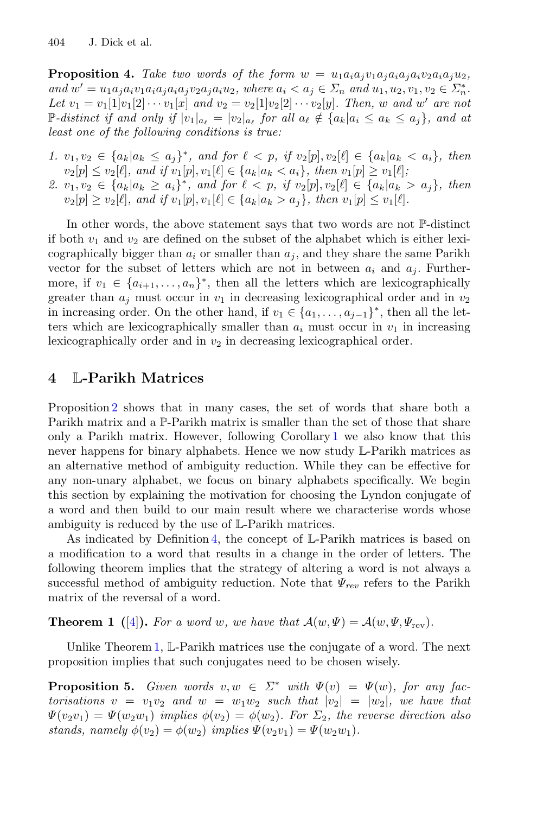**Proposition 4.** Take two words of the form  $w = u_1a_ia_jv_1a_ja_ia_jv_2a_ia_ju_2$ ,  $and \ w' = u_1 a_j a_i v_1 a_i a_j a_i a_j v_2 a_j a_i u_2, \ where \ a_i < a_j \in \Sigma_n \ and \ u_1, u_2, v_1, v_2 \in \Sigma_n^*$ . *Let*  $v_1 = v_1[1]v_1[2] \cdots v_1[x]$  *and*  $v_2 = v_2[1]v_2[2] \cdots v_2[y]$ *. Then, w and w' are not*  $\mathbb{P}\text{-}distinct$  if and only if  $|v_1|_{a_\ell} = |v_2|_{a_\ell}$  for all  $a_\ell \notin \{a_k | a_i \leq a_k \leq a_j\}$ , and at *least one of the following conditions is true:*

- *1.*  $v_1, v_2 \in \{a_k | a_k \leq a_i\}^*$ , and for  $\ell < p$ , if  $v_2[p], v_2[\ell] \in \{a_k | a_k < a_i\}$ , then  $v_2[p] \le v_2[\ell],$  and if  $v_1[p], v_1[\ell] \in \{a_k | a_k < a_i\},$  then  $v_1[p] \ge v_1[\ell];$
- 2.  $v_1, v_2 \in \{a_k | a_k \geq a_i\}^*$ , and for  $\ell < p$ , if  $v_2[p], v_2[\ell] \in \{a_k | a_k > a_j\}$ , then  $v_2[p] \ge v_2[\ell],$  and if  $v_1[p], v_1[\ell] \in \{a_k | a_k > a_j\},$  then  $v_1[p] \le v_1[\ell].$

In other words, the above statement says that two words are not P-distinct if both  $v_1$  and  $v_2$  are defined on the subset of the alphabet which is either lexicographically bigger than  $a_i$  or smaller than  $a_j$ , and they share the same Parikh vector for the subset of letters which are not in between  $a_i$  and  $a_j$ . Furthermore, if  $v_1 \in \{a_{i+1},...,a_n\}^*$ , then all the letters which are lexicographically greater than  $a_i$  must occur in  $v_1$  in decreasing lexicographical order and in  $v_2$ in increasing order. On the other hand, if  $v_1 \in \{a_1, \ldots, a_{j-1}\}^*$ , then all the letters which are lexicographically smaller than  $a_i$  must occur in  $v_1$  in increasing lexicographically order and in  $v_2$  in decreasing lexicographical order.

## <span id="page-7-0"></span>**4** L**-Parikh Matrices**

Proposition [2](#page-5-3) shows that in many cases, the set of words that share both a Parikh matrix and a P-Parikh matrix is smaller than the set of those that share only a Parikh matrix. However, following Corollary [1](#page-6-2) we also know that this never happens for binary alphabets. Hence we now study L-Parikh matrices as an alternative method of ambiguity reduction. While they can be effective for any non-unary alphabet, we focus on binary alphabets specifically. We begin this section by explaining the motivation for choosing the Lyndon conjugate of a word and then build to our main result where we characterise words whose ambiguity is reduced by the use of L-Parikh matrices.

As indicated by Definition [4,](#page-4-1) the concept of L-Parikh matrices is based on a modification to a word that results in a change in the order of letters. The following theorem implies that the strategy of altering a word is not always a successful method of ambiguity reduction. Note that Ψ*rev* refers to the Parikh matrix of the reversal of a word.

<span id="page-7-1"></span>**Theorem 1** ([\[4\]](#page-13-4)). For a word w, we have that  $\mathcal{A}(w, \Psi) = \mathcal{A}(w, \Psi, \Psi_{\text{rev}})$ .

<span id="page-7-2"></span>Unlike Theorem [1,](#page-7-1) L-Parikh matrices use the conjugate of a word. The next proposition implies that such conjugates need to be chosen wisely.

**Proposition 5.** *Given words*  $v, w \in \Sigma^*$  *with*  $\Psi(v) = \Psi(w)$ *, for any factorisations*  $v = v_1v_2$  *and*  $w = w_1w_2$  *such that*  $|v_2| = |w_2|$ *, we have that*  $\Psi(v_2v_1) = \Psi(w_2w_1)$  *implies*  $\phi(v_2) = \phi(w_2)$ *. For*  $\Sigma_2$ *, the reverse direction also stands, namely*  $\phi(v_2) = \phi(w_2)$  *implies*  $\Psi(v_2v_1) = \Psi(w_2w_1)$ *.*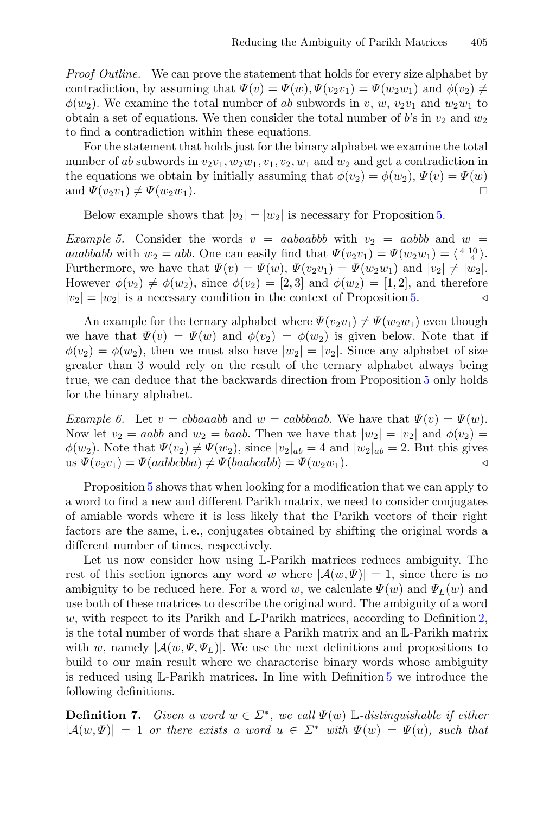*Proof Outline.* We can prove the statement that holds for every size alphabet by contradiction, by assuming that  $\Psi(v) = \Psi(w), \Psi(v_2v_1) = \Psi(w_2w_1)$  and  $\phi(v_2) \neq$  $\phi(w_2)$ . We examine the total number of ab subwords in v, w,  $v_2v_1$  and  $w_2w_1$  to obtain a set of equations. We then consider the total number of b's in  $v_2$  and  $w_2$ to find a contradiction within these equations.

For the statement that holds just for the binary alphabet we examine the total number of ab subwords in  $v_2v_1, w_2w_1, v_1, v_2, w_1$  and  $w_2$  and get a contradiction in the equations we obtain by initially assuming that  $\phi(v_2) = \phi(w_2)$ ,  $\Psi(v) = \Psi(w)$ and  $\Psi(v_2v_1) \neq \Psi(w_2w_1)$ .  $\Box$ 

Below example shows that  $|v_2| = |w_2|$  is necessary for Proposition [5.](#page-7-2)

*Example 5.* Consider the words  $v = aabaabb$  with  $v_2 = aabb$  and  $w =$ aaabbabb with  $w_2 = abb$ . One can easily find that  $\Psi(v_2v_1) = \Psi(w_2w_1) = \langle \begin{array}{cc} 4 & 10 \\ 4 & 4 \end{array} \rangle$ . Furthermore, we have that  $\Psi(v) = \Psi(w), \Psi(v_2v_1) = \Psi(w_2w_1)$  and  $|v_2| \neq |w_2|$ . However  $\phi(v_2) \neq \phi(w_2)$ , since  $\phi(v_2) = [2, 3]$  and  $\phi(w_2) = [1, 2]$ , and therefore  $|v_2| = |w_2|$  is a necessary condition in the context of Proposition 5.  $|v_2| = |w_2|$  is a necessary condition in the context of Proposition [5.](#page-7-2)

An example for the ternary alphabet where  $\Psi(v_2v_1) \neq \Psi(w_2w_1)$  even though we have that  $\Psi(v) = \Psi(w)$  and  $\phi(v_2) = \phi(w_2)$  is given below. Note that if  $\phi(v_2) = \phi(w_2)$ , then we must also have  $|w_2| = |v_2|$ . Since any alphabet of size greater than 3 would rely on the result of the ternary alphabet always being true, we can deduce that the backwards direction from Proposition [5](#page-7-2) only holds for the binary alphabet.

*Example 6.* Let  $v = cbbaaabb$  and  $w = cabbbaab$ . We have that  $\Psi(v) = \Psi(w)$ . Now let  $v_2 = aabb$  and  $w_2 = baab$ . Then we have that  $|w_2| = |v_2|$  and  $\phi(v_2) =$  $\phi(w_2)$ . Note that  $\Psi(v_2) \neq \Psi(w_2)$ , since  $|v_2|_{ab} = 4$  and  $|w_2|_{ab} = 2$ . But this gives us  $\Psi(v_2v_1) = \Psi(aabbcbba) \neq \Psi(baabcabb) = \Psi(w_2w_1).$ 

Proposition [5](#page-7-2) shows that when looking for a modification that we can apply to a word to find a new and different Parikh matrix, we need to consider conjugates of amiable words where it is less likely that the Parikh vectors of their right factors are the same, i. e., conjugates obtained by shifting the original words a different number of times, respectively.

Let us now consider how using L-Parikh matrices reduces ambiguity. The rest of this section ignores any word w where  $|\mathcal{A}(w, \Psi)| = 1$ , since there is no ambiguity to be reduced here. For a word w, we calculate  $\Psi(w)$  and  $\Psi_L(w)$  and use both of these matrices to describe the original word. The ambiguity of a word w, with respect to its Parikh and  $\mathbb{L}$ -Parikh matrices, according to Definition [2,](#page-3-1) is the total number of words that share a Parikh matrix and an L-Parikh matrix with w, namely  $|\mathcal{A}(w,\Psi,\Psi_L)|$ . We use the next definitions and propositions to build to our main result where we characterise binary words whose ambiguity is reduced using L-Parikh matrices. In line with Definition [5](#page-5-4) we introduce the following definitions.

**Definition 7.** *Given a word*  $w \in \Sigma^*$ , we call  $\Psi(w)$  L-distinguishable if either  $|A(w, \Psi)| = 1$  *or there exists a word*  $u \in \Sigma^*$  *with*  $\Psi(w) = \Psi(u)$ *, such that*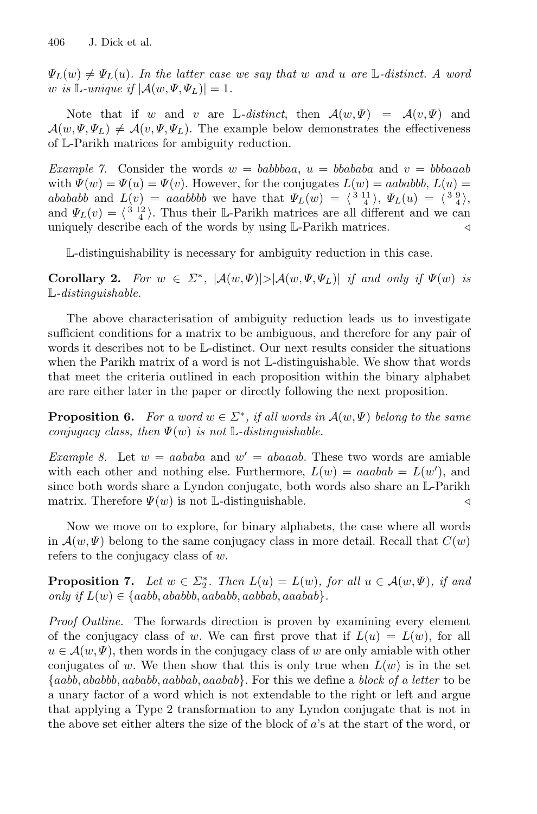$\Psi_L(w) \neq \Psi_L(u)$ . In the latter case we say that w and u are L-distinct. A word *w* is L-unique if  $|\mathcal{A}(w, \Psi, \Psi_L)| = 1$ .

Note that if w and v are L-distinct, then  $\mathcal{A}(w, \Psi) = \mathcal{A}(v, \Psi)$  and  $\mathcal{A}(w, \Psi, \Psi_L) \neq \mathcal{A}(v, \Psi, \Psi_L)$ . The example below demonstrates the effectiveness of L-Parikh matrices for ambiguity reduction.

*Example 7.* Consider the words  $w = babbbaa$ ,  $u = bbababa$  and  $v = bbbaaab$ with  $\Psi(w) = \Psi(u) = \Psi(v)$ . However, for the conjugates  $L(w) = aababb$ ,  $L(u) =$ abababb and  $L(v) = aaabbbb$  we have that  $\Psi_L(w) = \langle \begin{array}{c} 3 & 11 \\ 4 \end{array} \rangle$ ,  $\Psi_L(u) = \langle \begin{array}{c} 3 & 9 \\ 4 \end{array} \rangle$ , and  $\Psi_L(v) = \langle \frac{3}{4} \rangle$ . Thus their L-Parikh matrices are all different and we can uniquely describe each of the words by using L-Parikh matrices.

L-distinguishability is necessary for ambiguity reduction in this case.

**Corollary 2.** For  $w \in \Sigma^*$ ,  $|\mathcal{A}(w, \Psi)| > |\mathcal{A}(w, \Psi, \Psi_L)|$  *if and only if*  $\Psi(w)$  *is* L*-distinguishable.*

The above characterisation of ambiguity reduction leads us to investigate sufficient conditions for a matrix to be ambiguous, and therefore for any pair of words it describes not to be L-distinct. Our next results consider the situations when the Parikh matrix of a word is not L-distinguishable. We show that words that meet the criteria outlined in each proposition within the binary alphabet are rare either later in the paper or directly following the next proposition.

<span id="page-9-0"></span>**Proposition 6.** *For a word*  $w \in \Sigma^*$ , *if all words in*  $\mathcal{A}(w, \Psi)$  *belong to the same conjugacy class, then* Ψ(w) *is not* L*-distinguishable.*

*Example 8.* Let  $w = aababa$  and  $w' = abaaab$ . These two words are amiable with each other and nothing else. Furthermore,  $L(w) = aaabab = L(w')$ , and since both words share a Lyndon conjugate, both words also share an L-Parikh matrix. Therefore  $\Psi(w)$  is not L-distinguishable.

Now we move on to explore, for binary alphabets, the case where all words in  $\mathcal{A}(w, \Psi)$  belong to the same conjugacy class in more detail. Recall that  $C(w)$ refers to the conjugacy class of  $w$ .

<span id="page-9-1"></span>**Proposition 7.** *Let*  $w \in \Sigma_2^*$ *. Then*  $L(u) = L(w)$ *, for all*  $u \in \mathcal{A}(w, \Psi)$ *, if and only if*  $L(w) \in \{aabb, ababbb, aababb, aabbab, aaabab\}.$ 

*Proof Outline.* The forwards direction is proven by examining every element of the conjugacy class of w. We can first prove that if  $L(u) = L(w)$ , for all  $u \in \mathcal{A}(w, \Psi)$ , then words in the conjugacy class of w are only amiable with other conjugates of w. We then show that this is only true when  $L(w)$  is in the set {aabb, ababbb, aababb, aabbab, aaabab}. For this we define a *block of a letter* to be a unary factor of a word which is not extendable to the right or left and argue that applying a Type 2 transformation to any Lyndon conjugate that is not in the above set either alters the size of the block of a's at the start of the word, or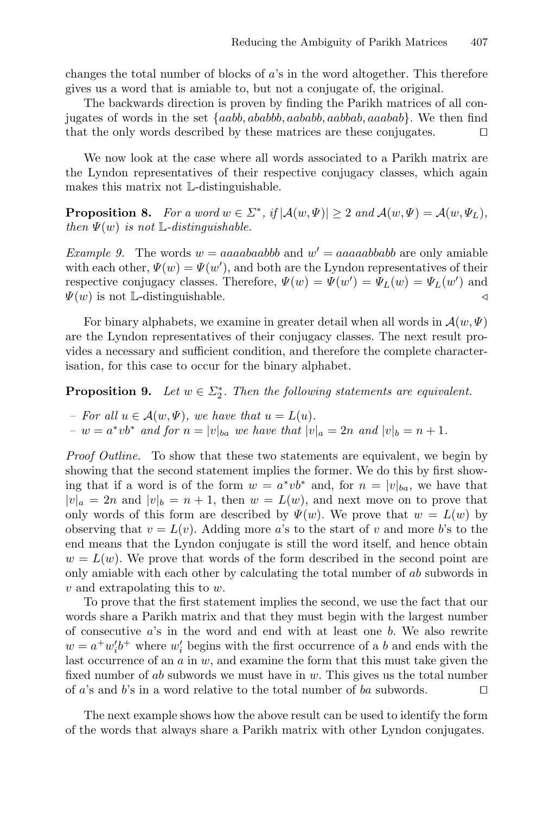changes the total number of blocks of  $a$ 's in the word altogether. This therefore gives us a word that is amiable to, but not a conjugate of, the original.

The backwards direction is proven by finding the Parikh matrices of all conjugates of words in the set {aabb, ababbb, aababb, aabbab, aaabab}. We then find that the only words described by these matrices are these conjugates.  $\Box$ 

We now look at the case where all words associated to a Parikh matrix are the Lyndon representatives of their respective conjugacy classes, which again makes this matrix not L-distinguishable.

<span id="page-10-1"></span>**Proposition 8.** *For a word*  $w \in \Sigma^*$ , if  $|\mathcal{A}(w, \Psi)| \geq 2$  *and*  $\mathcal{A}(w, \Psi) = \mathcal{A}(w, \Psi_L)$ *, then*  $\Psi(w)$  *is not*  $\mathbb{L}$ *-distinguishable.* 

*Example 9.* The words  $w = aaaabaabbb$  and  $w' = aaaaabbabbb$  are only amiable with each other,  $\Psi(w) = \Psi(w')$ , and both are the Lyndon representatives of their respective conjugacy classes. Therefore,  $\Psi(w) = \Psi(w') = \Psi_L(w) = \Psi_L(w')$  and  $\Psi(w)$  is not L-distinguishable.

For binary alphabets, we examine in greater detail when all words in  $\mathcal{A}(w, \Psi)$ are the Lyndon representatives of their conjugacy classes. The next result provides a necessary and sufficient condition, and therefore the complete characterisation, for this case to occur for the binary alphabet.

<span id="page-10-0"></span>**Proposition 9.** *Let*  $w \in \Sigma_2^*$ *. Then the following statements are equivalent.* 

*– For all*  $u \in \mathcal{A}(w, \Psi)$ , we have that  $u = L(u)$ . *−*  $w = a^* v b^*$  *and for*  $n = |v|_{ba}$  *we have that*  $|v|_a = 2n$  *and*  $|v|_b = n + 1$ *.* 

*Proof Outline.* To show that these two statements are equivalent, we begin by showing that the second statement implies the former. We do this by first showing that if a word is of the form  $w = a^* v b^*$  and, for  $n = |v|_{ba}$ , we have that  $|v|_a = 2n$  and  $|v|_b = n + 1$ , then  $w = L(w)$ , and next move on to prove that only words of this form are described by  $\Psi(w)$ . We prove that  $w = L(w)$  by observing that  $v = L(v)$ . Adding more a's to the start of v and more b's to the end means that the Lyndon conjugate is still the word itself, and hence obtain  $w = L(w)$ . We prove that words of the form described in the second point are only amiable with each other by calculating the total number of ab subwords in v and extrapolating this to w.

To prove that the first statement implies the second, we use the fact that our words share a Parikh matrix and that they must begin with the largest number of consecutive  $a$ 's in the word and end with at least one b. We also rewrite  $w = a^+ w_i' b^+$  where  $w_i'$  begins with the first occurrence of a b and ends with the last occurrence of an  $a$  in  $w$ , and examine the form that this must take given the fixed number of ab subwords we must have in w. This gives us the total number of <sup>a</sup>'s and <sup>b</sup>'s in a word relative to the total number of ba subwords.  $\Box$ 

The next example shows how the above result can be used to identify the form of the words that always share a Parikh matrix with other Lyndon conjugates.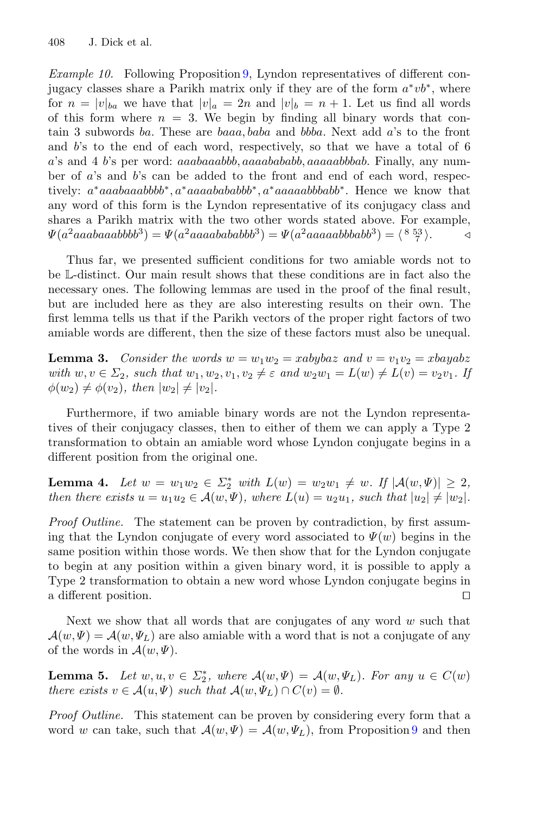*Example 10.* Following Proposition [9,](#page-10-0) Lyndon representatives of different conjugacy classes share a Parikh matrix only if they are of the form  $a^*v^*$ , where for  $n = |v|_{ba}$  we have that  $|v|_a = 2n$  and  $|v|_b = n + 1$ . Let us find all words of this form where  $n = 3$ . We begin by finding all binary words that contain 3 subwords ba. These are baaa, baba and bbba. Next add a's to the front and b's to the end of each word, respectively, so that we have a total of 6 a's and 4 b's per word: aaabaaabbb, aaaabababb, aaaaabbbab. Finally, any number of a's and b's can be added to the front and end of each word, respectively: a<sup>∗</sup>aaabaaabbbb<sup>∗</sup>, a<sup>∗</sup>aaaabababb<sup>∗</sup>, a<sup>∗</sup>aaaaaabbbabb<sup>∗</sup>. Hence we know that any word of this form is the Lyndon representative of its conjugacy class and shares a Parikh matrix with the two other words stated above. For example,  $\Psi(a^2aaabaaabbbb^3) = \Psi(a^2aaaaabababb^3) = \Psi(a^2aaaaaabbbabb^3) = \langle \begin{array}{cc} 8 & 53 \\ 7 \end{array} \rangle.$ 

Thus far, we presented sufficient conditions for two amiable words not to be L-distinct. Our main result shows that these conditions are in fact also the necessary ones. The following lemmas are used in the proof of the final result, but are included here as they are also interesting results on their own. The first lemma tells us that if the Parikh vectors of the proper right factors of two amiable words are different, then the size of these factors must also be unequal.

<span id="page-11-0"></span>**Lemma 3.** *Consider the words*  $w = w_1w_2 = xabybaz$  and  $v = v_1v_2 = xbayabz$ *with*  $w, v \in \Sigma_2$ , such that  $w_1, w_2, v_1, v_2 \neq \varepsilon$  and  $w_2w_1 = L(w) \neq L(v) = v_2v_1$ . If  $\phi(w_2) \neq \phi(v_2)$ , then  $|w_2| \neq |v_2|$ .

Furthermore, if two amiable binary words are not the Lyndon representatives of their conjugacy classes, then to either of them we can apply a Type 2 transformation to obtain an amiable word whose Lyndon conjugate begins in a different position from the original one.

<span id="page-11-1"></span>**Lemma 4.** *Let*  $w = w_1w_2 \in \Sigma_2^*$  *with*  $L(w) = w_2w_1 \neq w$ . If  $|A(w, \Psi)| \geq 2$ , *then there exists*  $u = u_1 u_2 \in \mathcal{A}(w, \Psi)$ *, where*  $L(u) = u_2 u_1$ *, such that*  $|u_2| \neq |w_2|$ *.* 

*Proof Outline.* The statement can be proven by contradiction, by first assuming that the Lyndon conjugate of every word associated to  $\Psi(w)$  begins in the same position within those words. We then show that for the Lyndon conjugate to begin at any position within a given binary word, it is possible to apply a Type 2 transformation to obtain a new word whose Lyndon conjugate begins in a different position.  $\Box$ 

Next we show that all words that are conjugates of any word  $w$  such that  $\mathcal{A}(w, \Psi) = \mathcal{A}(w, \Psi_L)$  are also amiable with a word that is not a conjugate of any of the words in  $\mathcal{A}(w,\Psi)$ .

<span id="page-11-2"></span>**Lemma 5.** *Let*  $w, u, v \in \Sigma_2^*$ , where  $\mathcal{A}(w, \Psi) = \mathcal{A}(w, \Psi_L)$ *. For any*  $u \in C(w)$ *there exists*  $v \in A(u, \Psi)$  *such that*  $A(w, \Psi_L) \cap C(v) = \emptyset$ *.* 

*Proof Outline.* This statement can be proven by considering every form that a word w can take, such that  $\mathcal{A}(w, \Psi) = \mathcal{A}(w, \Psi_L)$ , from Proposition [9](#page-10-0) and then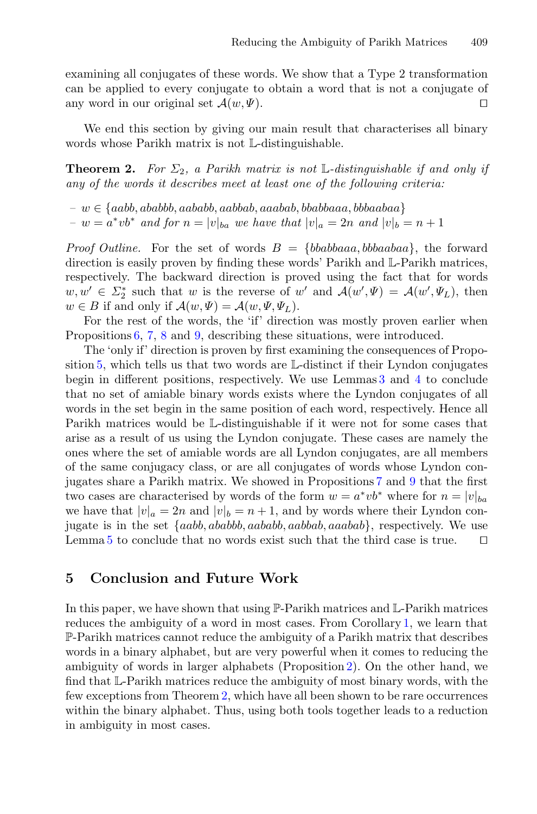examining all conjugates of these words. We show that a Type 2 transformation can be applied to every conjugate to obtain a word that is not a conjugate of any word in our original set  $\mathcal{A}(w, \Psi)$ .  $\Box$ 

<span id="page-12-0"></span>We end this section by giving our main result that characterises all binary words whose Parikh matrix is not L-distinguishable.

**Theorem 2.** For  $\Sigma_2$ , a Parikh matrix is not L-distinguishable if and only if *any of the words it describes meet at least one of the following criteria:*

 $− w ∈ {aabb, ababbb, aababb, aabbab, aaabab, bbabbaaa, bbbaabaa}$ *−*  $w = a^* v b^*$  *and for*  $n = |v|_{ba}$  *we have that*  $|v|_a = 2n$  *and*  $|v|_b = n + 1$ 

*Proof Outline.* For the set of words  $B = \{bbababbaaa, bbaabaa\}$ , the forward direction is easily proven by finding these words' Parikh and L-Parikh matrices, respectively. The backward direction is proved using the fact that for words  $w, w' \in \Sigma_2^*$  such that w is the reverse of w' and  $\mathcal{A}(w', \Psi) = \mathcal{A}(w', \Psi_L)$ , then  $w \in B$  if and only if  $\mathcal{A}(w, \Psi) = \mathcal{A}(w, \Psi, \Psi_L)$ .

For the rest of the words, the 'if' direction was mostly proven earlier when Propositions [6,](#page-9-0) [7,](#page-9-1) [8](#page-10-1) and [9,](#page-10-0) describing these situations, were introduced.

The 'only if' direction is proven by first examining the consequences of Proposition [5,](#page-7-2) which tells us that two words are L-distinct if their Lyndon conjugates begin in different positions, respectively. We use Lemmas [3](#page-11-0) and [4](#page-11-1) to conclude that no set of amiable binary words exists where the Lyndon conjugates of all words in the set begin in the same position of each word, respectively. Hence all Parikh matrices would be L-distinguishable if it were not for some cases that arise as a result of us using the Lyndon conjugate. These cases are namely the ones where the set of amiable words are all Lyndon conjugates, are all members of the same conjugacy class, or are all conjugates of words whose Lyndon conjugates share a Parikh matrix. We showed in Propositions [7](#page-9-1) and [9](#page-10-0) that the first two cases are characterised by words of the form  $w = a^* v b^*$  where for  $n = |v|_{ba}$ we have that  $|v|_a = 2n$  and  $|v|_b = n + 1$ , and by words where their Lyndon conjugate is in the set {aabb, ababbb, aababb, aabbab, aaabab}, respectively. We use Lemma [5](#page-11-2) to conclude that no words exist such that the third case is true.  $\Box$ 

### **5 Conclusion and Future Work**

In this paper, we have shown that using  $\mathbb{P}$ -Parikh matrices and  $\mathbb{L}$ -Parikh matrices reduces the ambiguity of a word in most cases. From Corollary [1,](#page-6-2) we learn that P-Parikh matrices cannot reduce the ambiguity of a Parikh matrix that describes words in a binary alphabet, but are very powerful when it comes to reducing the ambiguity of words in larger alphabets (Proposition [2\)](#page-5-3). On the other hand, we find that L-Parikh matrices reduce the ambiguity of most binary words, with the few exceptions from Theorem [2,](#page-12-0) which have all been shown to be rare occurrences within the binary alphabet. Thus, using both tools together leads to a reduction in ambiguity in most cases.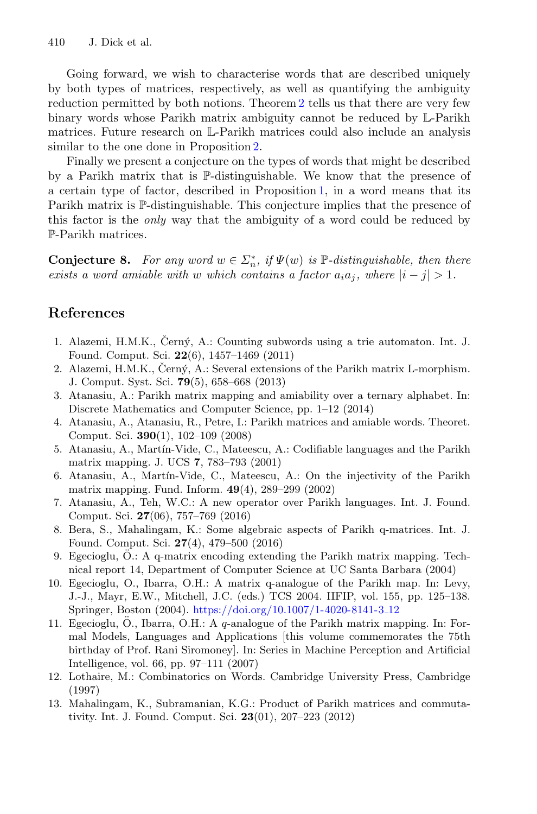Going forward, we wish to characterise words that are described uniquely by both types of matrices, respectively, as well as quantifying the ambiguity reduction permitted by both notions. Theorem [2](#page-12-0) tells us that there are very few binary words whose Parikh matrix ambiguity cannot be reduced by L-Parikh matrices. Future research on L-Parikh matrices could also include an analysis similar to the one done in Proposition [2.](#page-5-3)

Finally we present a conjecture on the types of words that might be described by a Parikh matrix that is P-distinguishable. We know that the presence of a certain type of factor, described in Proposition [1,](#page-5-1) in a word means that its Parikh matrix is P-distinguishable. This conjecture implies that the presence of this factor is the *only* way that the ambiguity of a word could be reduced by P-Parikh matrices.

**Conjecture 8.** *For any word*  $w \in \Sigma_n^*$ , if  $\Psi(w)$  is  $\mathbb{P}$ -distinguishable, then there *exists a word amiable with* w *which contains a factor*  $a_i a_j$ *, where*  $|i - j| > 1$ *.* 

## **References**

- <span id="page-13-0"></span>1. Alazemi, H.M.K., Černý, A.: Counting subwords using a trie automaton. Int. J. Found. Comput. Sci. **22**(6), 1457–1469 (2011)
- <span id="page-13-1"></span>2. Alazemi, H.M.K., Černý, A.: Several extensions of the Parikh matrix L-morphism. J. Comput. Syst. Sci. **79**(5), 658–668 (2013)
- <span id="page-13-6"></span>3. Atanasiu, A.: Parikh matrix mapping and amiability over a ternary alphabet. In: Discrete Mathematics and Computer Science, pp. 1–12 (2014)
- <span id="page-13-4"></span>4. Atanasiu, A., Atanasiu, R., Petre, I.: Parikh matrices and amiable words. Theoret. Comput. Sci. **390**(1), 102–109 (2008)
- 5. Atanasiu, A., Mart´ın-Vide, C., Mateescu, A.: Codifiable languages and the Parikh matrix mapping. J. UCS **7**, 783–793 (2001)
- <span id="page-13-8"></span>6. Atanasiu, A., Martín-Vide, C., Mateescu, A.: On the injectivity of the Parikh matrix mapping. Fund. Inform. **49**(4), 289–299 (2002)
- <span id="page-13-5"></span>7. Atanasiu, A., Teh, W.C.: A new operator over Parikh languages. Int. J. Found. Comput. Sci. **27**(06), 757–769 (2016)
- <span id="page-13-2"></span>8. Bera, S., Mahalingam, K.: Some algebraic aspects of Parikh q-matrices. Int. J. Found. Comput. Sci. **27**(4), 479–500 (2016)
- 9. Egecioglu, O.: A q-matrix encoding extending the Parikh matrix mapping. Technical report 14, Department of Computer Science at UC Santa Barbara (2004)
- 10. Egecioglu, O., Ibarra, O.H.: A matrix q-analogue of the Parikh map. In: Levy, J.-J., Mayr, E.W., Mitchell, J.C. (eds.) TCS 2004. IIFIP, vol. 155, pp. 125–138. Springer, Boston (2004). [https://doi.org/10.1007/1-4020-8141-3](https://doi.org/10.1007/1-4020-8141-3_12) 12
- <span id="page-13-3"></span>11. Egecioglu, O., Ibarra, O.H.: A  $q$ -analogue of the Parikh matrix mapping. In: Formal Models, Languages and Applications [this volume commemorates the 75th birthday of Prof. Rani Siromoney]. In: Series in Machine Perception and Artificial Intelligence, vol. 66, pp. 97–111 (2007)
- <span id="page-13-9"></span>12. Lothaire, M.: Combinatorics on Words. Cambridge University Press, Cambridge (1997)
- <span id="page-13-7"></span>13. Mahalingam, K., Subramanian, K.G.: Product of Parikh matrices and commutativity. Int. J. Found. Comput. Sci. **23**(01), 207–223 (2012)